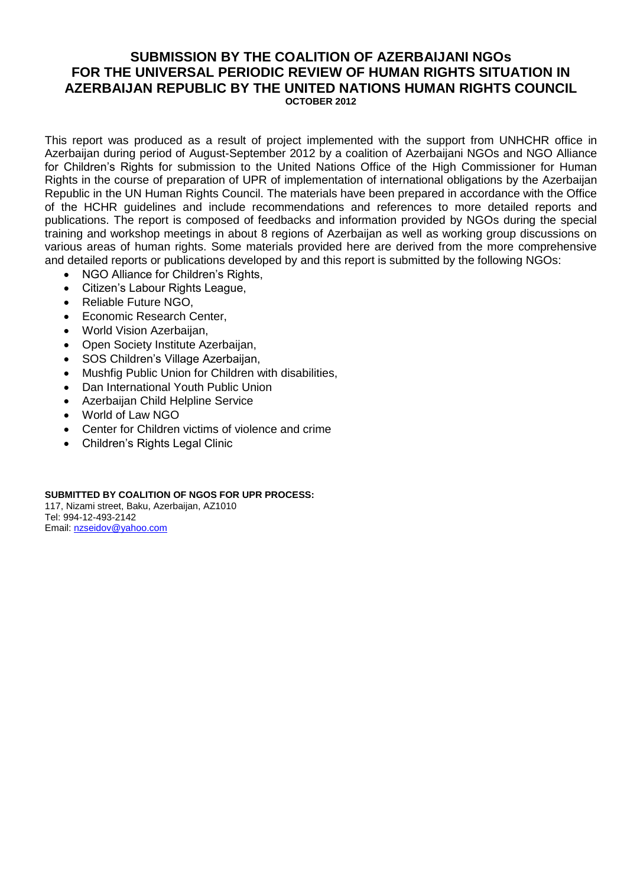# **SUBMISSION BY THE COALITION OF AZERBAIJANI NGOs FOR THE UNIVERSAL PERIODIC REVIEW OF HUMAN RIGHTS SITUATION IN AZERBAIJAN REPUBLIC BY THE UNITED NATIONS HUMAN RIGHTS COUNCIL OCTOBER 2012**

This report was produced as a result of project implemented with the support from UNHCHR office in Azerbaijan during period of August-September 2012 by a coalition of Azerbaijani NGOs and NGO Alliance for Children's Rights for submission to the United Nations Office of the High Commissioner for Human Rights in the course of preparation of UPR of implementation of international obligations by the Azerbaijan Republic in the UN Human Rights Council. The materials have been prepared in accordance with the Office of the HCHR guidelines and include recommendations and references to more detailed reports and publications. The report is composed of feedbacks and information provided by NGOs during the special training and workshop meetings in about 8 regions of Azerbaijan as well as working group discussions on various areas of human rights. Some materials provided here are derived from the more comprehensive and detailed reports or publications developed by and this report is submitted by the following NGOs:

- NGO Alliance for Children's Rights,
- Citizen's Labour Rights League,
- Reliable Future NGO.
- Economic Research Center,<br>• World Vision Azerhaijan
- World Vision Azerbaijan.
- Open Society Institute Azerbaijan,
- SOS Children's Village Azerbaijan,
- Mushfig Public Union for Children with disabilities,
- Dan International Youth Public Union
- Azerbaijan Child Helpline Service
- World of Law NGO
- Center for Children victims of violence and crime
- Children's Rights Legal Clinic

#### **SUBMITTED BY COALITION OF NGOS FOR UPR PROCESS:**

117, Nizami street, Baku, Azerbaijan, AZ1010 Tel: 994-12-493-2142 Email: [nzseidov@yahoo.com](mailto:nzseidov@yahoo.com)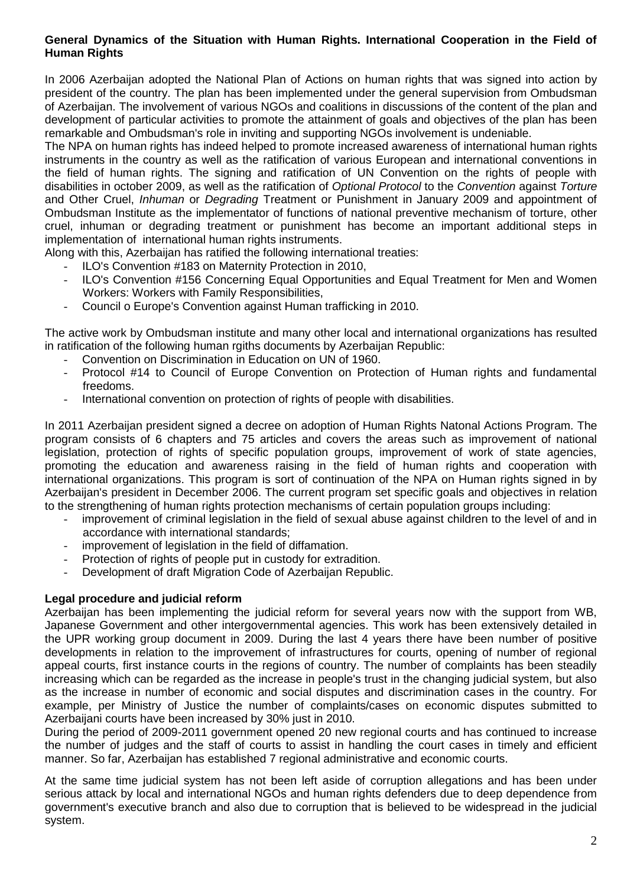# **General Dynamics of the Situation with Human Rights. International Cooperation in the Field of Human Rights**

In 2006 Azerbaijan adopted the National Plan of Actions on human rights that was signed into action by president of the country. The plan has been implemented under the general supervision from Ombudsman of Azerbaijan. The involvement of various NGOs and coalitions in discussions of the content of the plan and development of particular activities to promote the attainment of goals and objectives of the plan has been remarkable and Ombudsman's role in inviting and supporting NGOs involvement is undeniable.

The NPA on human rights has indeed helped to promote increased awareness of international human rights instruments in the country as well as the ratification of various European and international conventions in the field of human rights. The signing and ratification of UN Convention on the rights of people with disabilities in october 2009, as well as the ratification of *Optional Protocol* to the *Convention* against *Torture* and Other Cruel, *Inhuman* or *Degrading* Treatment or Punishment in January 2009 and appointment of Ombudsman Institute as the implementator of functions of national preventive mechanism of torture, other cruel, inhuman or degrading treatment or punishment has become an important additional steps in implementation of international human rights instruments.

Along with this, Azerbaijan has ratified the following international treaties:

- ILO's Convention #183 on Maternity Protection in 2010,
- ILO's Convention #156 Concerning Equal Opportunities and Equal Treatment for Men and Women Workers: Workers with Family Responsibilities,
- Council o Europe's Convention against Human trafficking in 2010.

The active work by Ombudsman institute and many other local and international organizations has resulted in ratification of the following human rgiths documents by Azerbaijan Republic:

- Convention on Discrimination in Education on UN of 1960.
- Protocol #14 to Council of Europe Convention on Protection of Human rights and fundamental freedoms.
- International convention on protection of rights of people with disabilities.

In 2011 Azerbaijan president signed a decree on adoption of Human Rights Natonal Actions Program. The program consists of 6 chapters and 75 articles and covers the areas such as improvement of national legislation, protection of rights of specific population groups, improvement of work of state agencies, promoting the education and awareness raising in the field of human rights and cooperation with international organizations. This program is sort of continuation of the NPA on Human rights signed in by Azerbaijan's president in December 2006. The current program set specific goals and objectives in relation to the strengthening of human rights protection mechanisms of certain population groups including:

- improvement of criminal legislation in the field of sexual abuse against children to the level of and in accordance with international standards;
- improvement of legislation in the field of diffamation.
- Protection of rights of people put in custody for extradition.
- Development of draft Migration Code of Azerbaijan Republic.

# **Legal procedure and judicial reform**

Azerbaijan has been implementing the judicial reform for several years now with the support from WB, Japanese Government and other intergovernmental agencies. This work has been extensively detailed in the UPR working group document in 2009. During the last 4 years there have been number of positive developments in relation to the improvement of infrastructures for courts, opening of number of regional appeal courts, first instance courts in the regions of country. The number of complaints has been steadily increasing which can be regarded as the increase in people's trust in the changing judicial system, but also as the increase in number of economic and social disputes and discrimination cases in the country. For example, per Ministry of Justice the number of complaints/cases on economic disputes submitted to Azerbaijani courts have been increased by 30% just in 2010.

During the period of 2009-2011 government opened 20 new regional courts and has continued to increase the number of judges and the staff of courts to assist in handling the court cases in timely and efficient manner. So far, Azerbaijan has established 7 regional administrative and economic courts.

At the same time judicial system has not been left aside of corruption allegations and has been under serious attack by local and international NGOs and human rights defenders due to deep dependence from government's executive branch and also due to corruption that is believed to be widespread in the judicial system.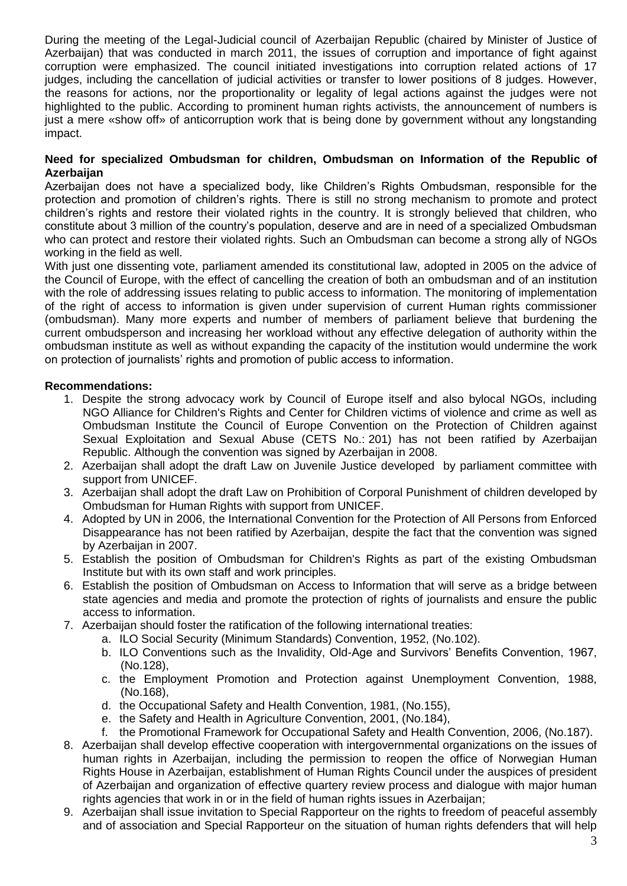During the meeting of the Legal-Judicial council of Azerbaijan Republic (chaired by Minister of Justice of Azerbaijan) that was conducted in march 2011, the issues of corruption and importance of fight against corruption were emphasized. The council initiated investigations into corruption related actions of 17 judges, including the cancellation of judicial activities or transfer to lower positions of 8 judges. However, the reasons for actions, nor the proportionality or legality of legal actions against the judges were not highlighted to the public. According to prominent human rights activists, the announcement of numbers is just a mere «show off» of anticorruption work that is being done by government without any longstanding impact.

### **Need for specialized Ombudsman for children, Ombudsman on Information of the Republic of Azerbaijan**

Azerbaijan does not have a specialized body, like Children's Rights Ombudsman, responsible for the protection and promotion of children's rights. There is still no strong mechanism to promote and protect children's rights and restore their violated rights in the country. It is strongly believed that children, who constitute about 3 million of the country's population, deserve and are in need of a specialized Ombudsman who can protect and restore their violated rights. Such an Ombudsman can become a strong ally of NGOs working in the field as well.

With just one dissenting vote, parliament amended its constitutional law, adopted in 2005 on the advice of the Council of Europe, with the effect of cancelling the creation of both an ombudsman and of an institution with the role of addressing issues relating to public access to information. The monitoring of implementation of the right of access to information is given under supervision of current Human rights commissioner (ombudsman). Many more experts and number of members of parliament believe that burdening the current ombudsperson and increasing her workload without any effective delegation of authority within the ombudsman institute as well as without expanding the capacity of the institution would undermine the work on protection of journalists' rights and promotion of public access to information.

# **Recommendations:**

- 1. Despite the strong advocacy work by Council of Europe itself and also bylocal NGOs, including NGO Alliance for Children's Rights and Center for Children victims of violence and crime as well as Ombudsman Institute the Council of Europe Convention on the Protection of Children against Sexual Exploitation and Sexual Abuse (CETS No.: 201) has not been ratified by Azerbaijan Republic. Although the convention was signed by Azerbaijan in 2008.
- 2. Azerbaijan shall adopt the draft Law on Juvenile Justice developed by parliament committee with support from UNICEF.
- 3. Azerbaijan shall adopt the draft Law on Prohibition of Corporal Punishment of children developed by Ombudsman for Human Rights with support from UNICEF.
- 4. Adopted by UN in 2006, the International Convention for the Protection of All Persons from Enforced Disappearance has not been ratified by Azerbaijan, despite the fact that the convention was signed by Azerbaijan in 2007.
- 5. Establish the position of Ombudsman for Children's Rights as part of the existing Ombudsman Institute but with its own staff and work principles.
- 6. Establish the position of Ombudsman on Access to Information that will serve as a bridge between state agencies and media and promote the protection of rights of journalists and ensure the public access to information.
- 7. Azerbaijan should foster the ratification of the following international treaties:
	- a. ILO Social Security (Minimum Standards) Convention, 1952, (No.102).
		- b. ILO Conventions such as the Invalidity, Old-Age and Survivors' Benefits Convention, 1967, (No.128),
		- c. the Employment Promotion and Protection against Unemployment Convention, 1988, (No.168),
		- d. the Occupational Safety and Health Convention, 1981, (No.155),
		- e. the Safety and Health in Agriculture Convention, 2001, (No.184),
	- f. the Promotional Framework for Occupational Safety and Health Convention, 2006, (No.187).
- 8. Azerbaijan shall develop effective cooperation with intergovernmental organizations on the issues of human rights in Azerbaijan, including the permission to reopen the office of Norwegian Human Rights House in Azerbaijan, establishment of Human Rights Council under the auspices of president of Azerbaijan and organization of effective quartery review process and dialogue with major human rights agencies that work in or in the field of human rights issues in Azerbaijan;
- 9. Azerbaijan shall issue invitation to Special Rapporteur on the rights to freedom of peaceful assembly and of association and Special Rapporteur on the situation of human rights defenders that will help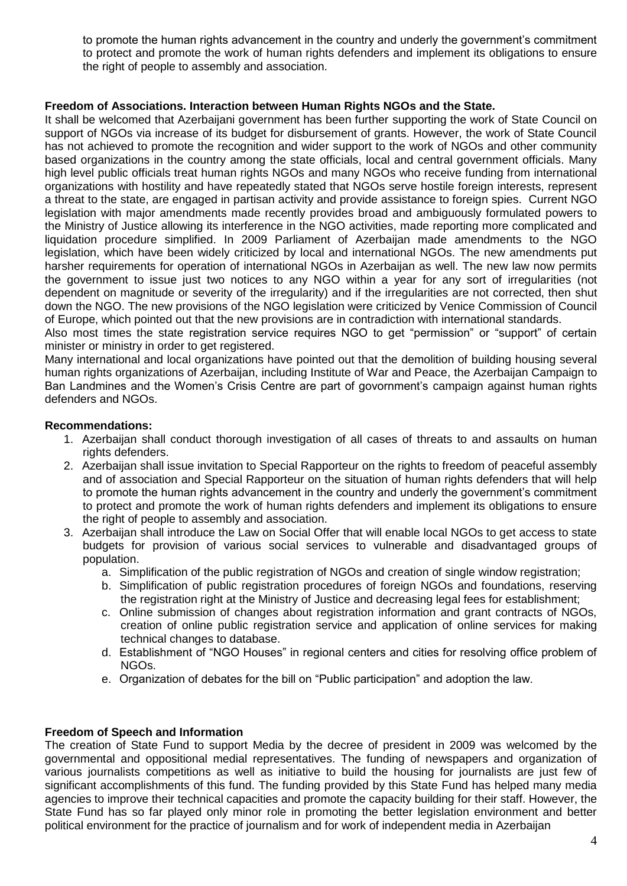to promote the human rights advancement in the country and underly the government's commitment to protect and promote the work of human rights defenders and implement its obligations to ensure the right of people to assembly and association.

### **Freedom of Associations. Interaction between Human Rights NGOs and the State.**

It shall be welcomed that Azerbaijani government has been further supporting the work of State Council on support of NGOs via increase of its budget for disbursement of grants. However, the work of State Council has not achieved to promote the recognition and wider support to the work of NGOs and other community based organizations in the country among the state officials, local and central government officials. Many high level public officials treat human rights NGOs and many NGOs who receive funding from international organizations with hostility and have repeatedly stated that NGOs serve hostile foreign interests, represent a threat to the state, are engaged in partisan activity and provide assistance to foreign spies. Current NGO legislation with major amendments made recently provides broad and ambiguously formulated powers to the Ministry of Justice allowing its interference in the NGO activities, made reporting more complicated and liquidation procedure simplified. In 2009 Parliament of Azerbaijan made amendments to the NGO legislation, which have been widely criticized by local and international NGOs. The new amendments put harsher requirements for operation of international NGOs in Azerbaijan as well. The new law now permits the government to issue just two notices to any NGO within a year for any sort of irregularities (not dependent on magnitude or severity of the irregularity) and if the irregularities are not corrected, then shut down the NGO. The new provisions of the NGO legislation were criticized by Venice Commission of Council of Europe, which pointed out that the new provisions are in contradiction with international standards.

Also most times the state registration service requires NGO to get "permission" or "support" of certain minister or ministry in order to get registered.

Many international and local organizations have pointed out that the demolition of building housing several human rights organizations of Azerbaijan, including Institute of War and Peace, the Azerbaijan Campaign to Ban Landmines and the Women's Crisis Centre are part of govornment's campaign against human rights defenders and NGOs.

#### **Recommendations:**

- 1. Azerbaijan shall conduct thorough investigation of all cases of threats to and assaults on human rights defenders.
- 2. Azerbaijan shall issue invitation to Special Rapporteur on the rights to freedom of peaceful assembly and of association and Special Rapporteur on the situation of human rights defenders that will help to promote the human rights advancement in the country and underly the government's commitment to protect and promote the work of human rights defenders and implement its obligations to ensure the right of people to assembly and association.
- 3. Azerbaijan shall introduce the Law on Social Offer that will enable local NGOs to get access to state budgets for provision of various social services to vulnerable and disadvantaged groups of population.
	- a. Simplification of the public registration of NGOs and creation of single window registration;
	- b. Simplification of public registration procedures of foreign NGOs and foundations, reserving the registration right at the Ministry of Justice and decreasing legal fees for establishment;
	- c. Online submission of changes about registration information and grant contracts of NGOs, creation of online public registration service and application of online services for making technical changes to database.
	- d. Establishment of "NGO Houses" in regional centers and cities for resolving office problem of NGOs.
	- e. Organization of debates for the bill on "Public participation" and adoption the law.

#### **Freedom of Speech and Information**

The creation of State Fund to support Media by the decree of president in 2009 was welcomed by the governmental and oppositional medial representatives. The funding of newspapers and organization of various journalists competitions as well as initiative to build the housing for journalists are just few of significant accomplishments of this fund. The funding provided by this State Fund has helped many media agencies to improve their technical capacities and promote the capacity building for their staff. However, the State Fund has so far played only minor role in promoting the better legislation environment and better political environment for the practice of journalism and for work of independent media in Azerbaijan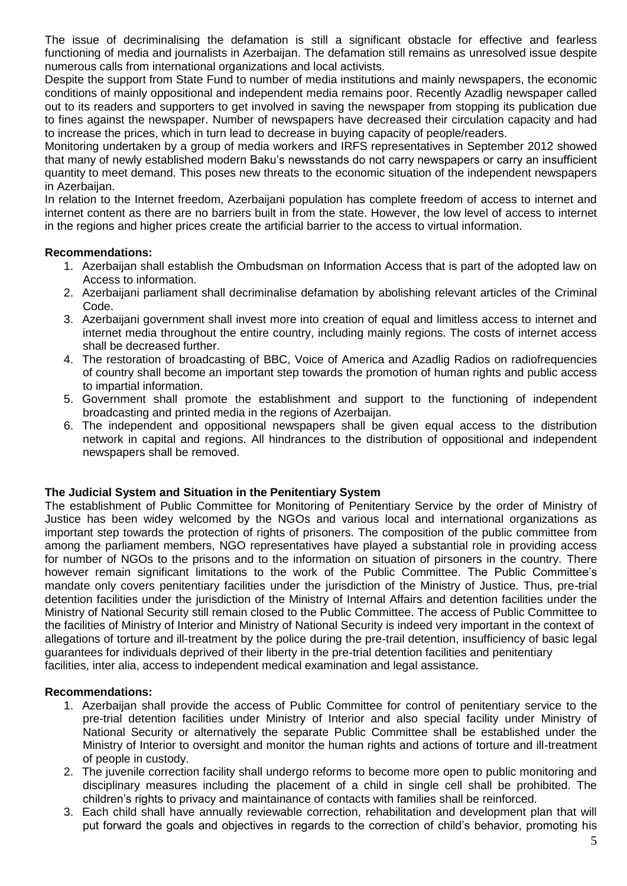The issue of decriminalising the defamation is still a significant obstacle for effective and fearless functioning of media and journalists in Azerbaijan. The defamation still remains as unresolved issue despite numerous calls from international organizations and local activists.

Despite the support from State Fund to number of media institutions and mainly newspapers, the economic conditions of mainly oppositional and independent media remains poor. Recently Azadlig newspaper called out to its readers and supporters to get involved in saving the newspaper from stopping its publication due to fines against the newspaper. Number of newspapers have decreased their circulation capacity and had to increase the prices, which in turn lead to decrease in buying capacity of people/readers.

Monitoring undertaken by a group of media workers and IRFS representatives in September 2012 showed that many of newly established modern Baku's newsstands do not carry newspapers or carry an insufficient quantity to meet demand. This poses new threats to the economic situation of the independent newspapers in Azerbaijan.

In relation to the Internet freedom, Azerbaijani population has complete freedom of access to internet and internet content as there are no barriers built in from the state. However, the low level of access to internet in the regions and higher prices create the artificial barrier to the access to virtual information.

# **Recommendations:**

- 1. Azerbaijan shall establish the Ombudsman on Information Access that is part of the adopted law on Access to information.
- 2. Azerbaijani parliament shall decriminalise defamation by abolishing relevant articles of the Criminal Code.
- 3. Azerbaijani government shall invest more into creation of equal and limitless access to internet and internet media throughout the entire country, including mainly regions. The costs of internet access shall be decreased further.
- 4. The restoration of broadcasting of BBC, Voice of America and Azadlig Radios on radiofrequencies of country shall become an important step towards the promotion of human rights and public access to impartial information.
- 5. Government shall promote the establishment and support to the functioning of independent broadcasting and printed media in the regions of Azerbaijan.
- 6. The independent and oppositional newspapers shall be given equal access to the distribution network in capital and regions. All hindrances to the distribution of oppositional and independent newspapers shall be removed.

# **The Judicial System and Situation in the Penitentiary System**

The establishment of Public Committee for Monitoring of Penitentiary Service by the order of Ministry of Justice has been widey welcomed by the NGOs and various local and international organizations as important step towards the protection of rights of prisoners. The composition of the public committee from among the parliament members, NGO representatives have played a substantial role in providing access for number of NGOs to the prisons and to the information on situation of pirsoners in the country. There however remain significant limitations to the work of the Public Committee. The Public Committee's mandate only covers penitentiary facilities under the jurisdiction of the Ministry of Justice. Thus, pre-trial detention facilities under the jurisdiction of the Ministry of Internal Affairs and detention facilities under the Ministry of National Security still remain closed to the Public Committee. The access of Public Committee to the facilities of Ministry of Interior and Ministry of National Security is indeed very important in the context of allegations of torture and ill-treatment by the police during the pre-trail detention, insufficiency of basic legal guarantees for individuals deprived of their liberty in the pre-trial detention facilities and penitentiary facilities, inter alia, access to independent medical examination and legal assistance.

#### **Recommendations:**

- 1. Azerbaijan shall provide the access of Public Committee for control of penitentiary service to the pre-trial detention facilities under Ministry of Interior and also special facility under Ministry of National Security or alternatively the separate Public Committee shall be established under the Ministry of Interior to oversight and monitor the human rights and actions of torture and ill-treatment of people in custody.
- 2. The juvenile correction facility shall undergo reforms to become more open to public monitoring and disciplinary measures including the placement of a child in single cell shall be prohibited. The children's rights to privacy and maintainance of contacts with families shall be reinforced.
- 3. Each child shall have annually reviewable correction, rehabilitation and development plan that will put forward the goals and objectives in regards to the correction of child's behavior, promoting his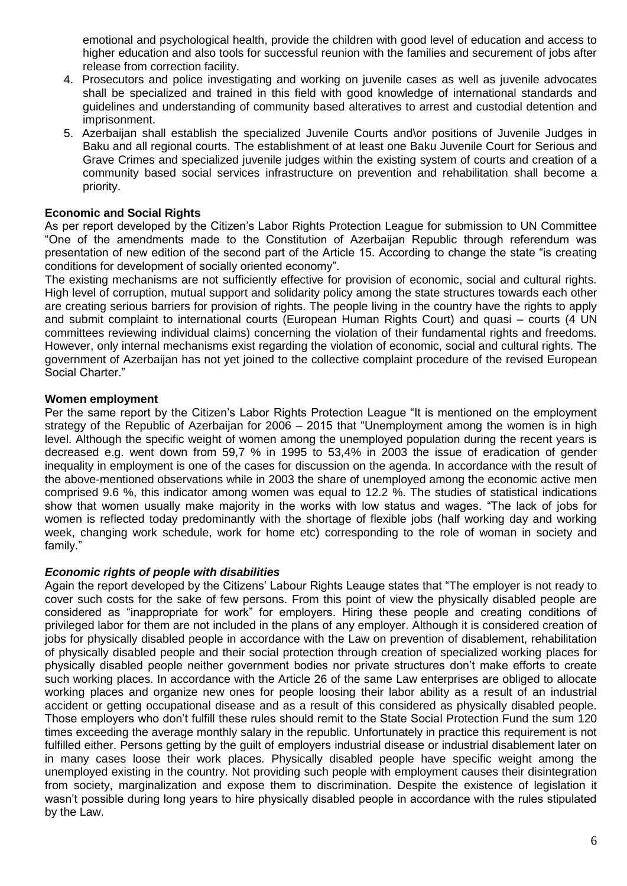emotional and psychological health, provide the children with good level of education and access to higher education and also tools for successful reunion with the families and securement of jobs after release from correction facility.

- 4. Prosecutors and police investigating and working on juvenile cases as well as juvenile advocates shall be specialized and trained in this field with good knowledge of international standards and guidelines and understanding of community based alteratives to arrest and custodial detention and imprisonment.
- 5. Azerbaijan shall establish the specialized Juvenile Courts and\or positions of Juvenile Judges in Baku and all regional courts. The establishment of at least one Baku Juvenile Court for Serious and Grave Crimes and specialized juvenile judges within the existing system of courts and creation of a community based social services infrastructure on prevention and rehabilitation shall become a priority.

# **Economic and Social Rights**

As per report developed by the Citizen's Labor Rights Protection League for submission to UN Committee "One of the amendments made to the Constitution of Azerbaijan Republic through referendum was presentation of new edition of the second part of the Article 15. According to change the state "is creating conditions for development of socially oriented economy".

The existing mechanisms are not sufficiently effective for provision of economic, social and cultural rights. High level of corruption, mutual support and solidarity policy among the state structures towards each other are creating serious barriers for provision of rights. The people living in the country have the rights to apply and submit complaint to international courts (European Human Rights Court) and quasi – courts (4 UN committees reviewing individual claims) concerning the violation of their fundamental rights and freedoms. However, only internal mechanisms exist regarding the violation of economic, social and cultural rights. The government of Azerbaijan has not yet joined to the collective complaint procedure of the revised European Social Charter."

### **Women employment**

Per the same report by the Citizen's Labor Rights Protection League "It is mentioned on the employment strategy of the Republic of Azerbaijan for 2006 – 2015 that "Unemployment among the women is in high level. Although the specific weight of women among the unemployed population during the recent years is decreased e.g. went down from 59,7 % in 1995 to 53,4% in 2003 the issue of eradication of gender inequality in employment is one of the cases for discussion on the agenda. In accordance with the result of the above-mentioned observations while in 2003 the share of unemployed among the economic active men comprised 9.6 %, this indicator among women was equal to 12.2 %. The studies of statistical indications show that women usually make majority in the works with low status and wages. "The lack of jobs for women is reflected today predominantly with the shortage of flexible jobs (half working day and working week, changing work schedule, work for home etc) corresponding to the role of woman in society and family."

#### *Economic rights of people with disabilities*

Again the report developed by the Citizens' Labour Rights Leauge states that "The employer is not ready to cover such costs for the sake of few persons. From this point of view the physically disabled people are considered as "inappropriate for work" for employers. Hiring these people and creating conditions of privileged labor for them are not included in the plans of any employer. Although it is considered creation of jobs for physically disabled people in accordance with the Law on prevention of disablement, rehabilitation of physically disabled people and their social protection through creation of specialized working places for physically disabled people neither government bodies nor private structures don't make efforts to create such working places. In accordance with the Article 26 of the same Law enterprises are obliged to allocate working places and organize new ones for people loosing their labor ability as a result of an industrial accident or getting occupational disease and as a result of this considered as physically disabled people. Those employers who don't fulfill these rules should remit to the State Social Protection Fund the sum 120 times exceeding the average monthly salary in the republic. Unfortunately in practice this requirement is not fulfilled either. Persons getting by the guilt of employers industrial disease or industrial disablement later on in many cases loose their work places. Physically disabled people have specific weight among the unemployed existing in the country. Not providing such people with employment causes their disintegration from society, marginalization and expose them to discrimination. Despite the existence of legislation it wasn't possible during long years to hire physically disabled people in accordance with the rules stipulated by the Law.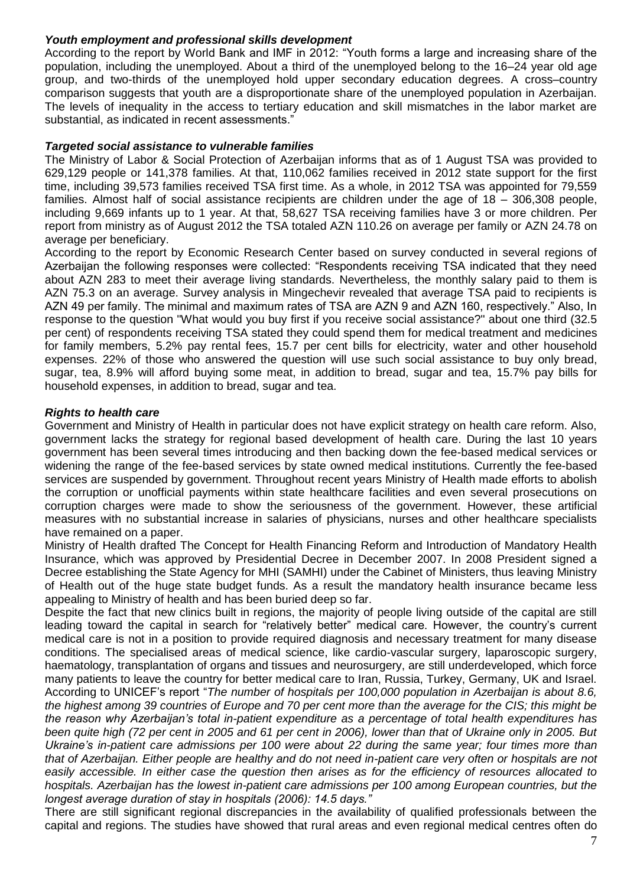# *Youth employment and professional skills development*

According to the report by World Bank and IMF in 2012: "Youth forms a large and increasing share of the population, including the unemployed. About a third of the unemployed belong to the 16–24 year old age group, and two-thirds of the unemployed hold upper secondary education degrees. A cross–country comparison suggests that youth are a disproportionate share of the unemployed population in Azerbaijan. The levels of inequality in the access to tertiary education and skill mismatches in the labor market are substantial, as indicated in recent assessments."

# *Targeted social assistance to vulnerable families*

The Ministry of Labor & Social Protection of Azerbaijan informs that as of 1 August TSA was provided to 629,129 people or 141,378 families. At that, 110,062 families received in 2012 state support for the first time, including 39,573 families received TSA first time. As a whole, in 2012 TSA was appointed for 79,559 families. Almost half of social assistance recipients are children under the age of 18 – 306,308 people, including 9,669 infants up to 1 year. At that, 58,627 TSA receiving families have 3 or more children. Per report from ministry as of August 2012 the TSA totaled AZN 110.26 on average per family or AZN 24.78 on average per beneficiary.

According to the report by Economic Research Center based on survey conducted in several regions of Azerbaijan the following responses were collected: "Respondents receiving TSA indicated that they need about AZN 283 to meet their average living standards. Nevertheless, the monthly salary paid to them is AZN 75.3 on an average. Survey analysis in Mingechevir revealed that average TSA paid to recipients is AZN 49 per family. The minimal and maximum rates of TSA are AZN 9 and AZN 160, respectively." Also, In response to the question "What would you buy first if you receive social assistance?" about one third (32.5 per cent) of respondents receiving TSA stated they could spend them for medical treatment and medicines for family members, 5.2% pay rental fees, 15.7 per cent bills for electricity, water and other household expenses. 22% of those who answered the question will use such social assistance to buy only bread, sugar, tea, 8.9% will afford buying some meat, in addition to bread, sugar and tea, 15.7% pay bills for household expenses, in addition to bread, sugar and tea.

# *Rights to health care*

Government and Ministry of Health in particular does not have explicit strategy on health care reform. Also, government lacks the strategy for regional based development of health care. During the last 10 years government has been several times introducing and then backing down the fee-based medical services or widening the range of the fee-based services by state owned medical institutions. Currently the fee-based services are suspended by government. Throughout recent years Ministry of Health made efforts to abolish the corruption or unofficial payments within state healthcare facilities and even several prosecutions on corruption charges were made to show the seriousness of the government. However, these artificial measures with no substantial increase in salaries of physicians, nurses and other healthcare specialists have remained on a paper.

Ministry of Health drafted The Concept for Health Financing Reform and Introduction of Mandatory Health Insurance, which was approved by Presidential Decree in December 2007. In 2008 President signed a Decree establishing the State Agency for MHI (SAMHI) under the Cabinet of Ministers, thus leaving Ministry of Health out of the huge state budget funds. As a result the mandatory health insurance became less appealing to Ministry of health and has been buried deep so far.

Despite the fact that new clinics built in regions, the majority of people living outside of the capital are still leading toward the capital in search for "relatively better" medical care. However, the country's current medical care is not in a position to provide required diagnosis and necessary treatment for many disease conditions. The specialised areas of medical science, like cardio-vascular surgery, laparoscopic surgery, haematology, transplantation of organs and tissues and neurosurgery, are still underdeveloped, which force many patients to leave the country for better medical care to Iran, Russia, Turkey, Germany, UK and Israel. According to UNICEF's report "*The number of hospitals per 100,000 population in Azerbaijan is about 8.6, the highest among 39 countries of Europe and 70 per cent more than the average for the CIS; this might be the reason why Azerbaijan's total in-patient expenditure as a percentage of total health expenditures has been quite high (72 per cent in 2005 and 61 per cent in 2006), lower than that of Ukraine only in 2005. But Ukraine's in-patient care admissions per 100 were about 22 during the same year; four times more than that of Azerbaijan. Either people are healthy and do not need in-patient care very often or hospitals are not easily accessible. In either case the question then arises as for the efficiency of resources allocated to hospitals. Azerbaijan has the lowest in-patient care admissions per 100 among European countries, but the longest average duration of stay in hospitals (2006): 14.5 days."*

There are still significant regional discrepancies in the availability of qualified professionals between the capital and regions. The studies have showed that rural areas and even regional medical centres often do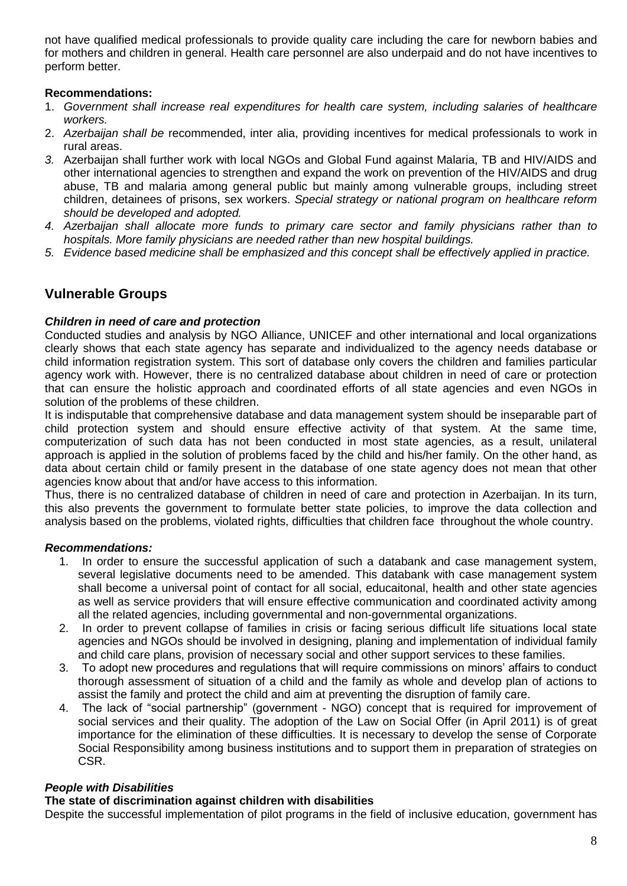not have qualified medical professionals to provide quality care including the care for newborn babies and for mothers and children in general. Health care personnel are also underpaid and do not have incentives to perform better.

# **Recommendations:**

- 1. *Government shall increase real expenditures for health care system, including salaries of healthcare workers.*
- 2. *Azerbaijan shall be* recommended, inter alia, providing incentives for medical professionals to work in rural areas.
- *3.* Azerbaijan shall further work with local NGOs and Global Fund against Malaria, TB and HIV/AIDS and other international agencies to strengthen and expand the work on prevention of the HIV/AIDS and drug abuse, TB and malaria among general public but mainly among vulnerable groups, including street children, detainees of prisons, sex workers. *Special strategy or national program on healthcare reform should be developed and adopted.*
- *4. Azerbaijan shall allocate more funds to primary care sector and family physicians rather than to hospitals. More family physicians are needed rather than new hospital buildings.*
- *5. Evidence based medicine shall be emphasized and this concept shall be effectively applied in practice.*

# **Vulnerable Groups**

# *Children in need of care and protection*

Conducted studies and analysis by NGO Alliance, UNICEF and other international and local organizations clearly shows that each state agency has separate and individualized to the agency needs database or child information registration system. This sort of database only covers the children and families particular agency work with. However, there is no centralized database about children in need of care or protection that can ensure the holistic approach and coordinated efforts of all state agencies and even NGOs in solution of the problems of these children.

It is indisputable that comprehensive database and data management system should be inseparable part of child protection system and should ensure effective activity of that system. At the same time, computerization of such data has not been conducted in most state agencies, as a result, unilateral approach is applied in the solution of problems faced by the child and his/her family. On the other hand, as data about certain child or family present in the database of one state agency does not mean that other agencies know about that and/or have access to this information.

Thus, there is no centralized database of children in need of care and protection in Azerbaijan. In its turn, this also prevents the government to formulate better state policies, to improve the data collection and analysis based on the problems, violated rights, difficulties that children face throughout the whole country.

# *Recommendations:*

- 1. In order to ensure the successful application of such a databank and case management system, several legislative documents need to be amended. This databank with case management system shall become a universal point of contact for all social, educaitonal, health and other state agencies as well as service providers that will ensure effective communication and coordinated activity among all the related agencies, including governmental and non-governmental organizations.
- 2. In order to prevent collapse of families in crisis or facing serious difficult life situations local state agencies and NGOs should be involved in designing, planing and implementation of individual family and child care plans, provision of necessary social and other support services to these families.
- 3. To adopt new procedures and regulations that will require commissions on minors' affairs to conduct thorough assessment of situation of a child and the family as whole and develop plan of actions to assist the family and protect the child and aim at preventing the disruption of family care.
- 4. The lack of "social partnership" (government NGO) concept that is required for improvement of social services and their quality. The adoption of the Law on Social Offer (in April 2011) is of great importance for the elimination of these difficulties. It is necessary to develop the sense of Corporate Social Responsibility among business institutions and to support them in preparation of strategies on CSR.

# *People with Disabilities*

# **The state of discrimination against children with disabilities**

Despite the successful implementation of pilot programs in the field of inclusive education, government has